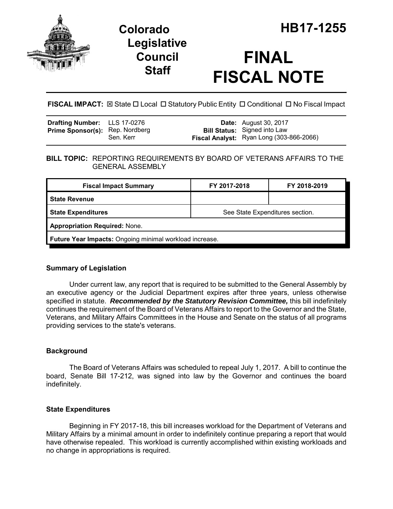

## **Legislative Council Staff**

# **FINAL FISCAL NOTE**

**FISCAL IMPACT:** ⊠ State □ Local □ Statutory Public Entity □ Conditional □ No Fiscal Impact

| <b>Drafting Number:</b> LLS 17-0276    |           | <b>Date:</b> August 30, 2017                                                    |
|----------------------------------------|-----------|---------------------------------------------------------------------------------|
| <b>Prime Sponsor(s): Rep. Nordberg</b> | Sen, Kerr | <b>Bill Status:</b> Signed into Law<br>Fiscal Analyst: Ryan Long (303-866-2066) |

#### **BILL TOPIC:** REPORTING REQUIREMENTS BY BOARD OF VETERANS AFFAIRS TO THE GENERAL ASSEMBLY

| <b>Fiscal Impact Summary</b>                            | FY 2017-2018                    | FY 2018-2019 |  |  |
|---------------------------------------------------------|---------------------------------|--------------|--|--|
| <b>State Revenue</b>                                    |                                 |              |  |  |
| <b>State Expenditures</b>                               | See State Expenditures section. |              |  |  |
| <b>Appropriation Required: None.</b>                    |                                 |              |  |  |
| Future Year Impacts: Ongoing minimal workload increase. |                                 |              |  |  |

## **Summary of Legislation**

Under current law, any report that is required to be submitted to the General Assembly by an executive agency or the Judicial Department expires after three years, unless otherwise specified in statute. *Recommended by the Statutory Revision Committee,* this bill indefinitely continues the requirement of the Board of Veterans Affairs to report to the Governor and the State, Veterans, and Military Affairs Committees in the House and Senate on the status of all programs providing services to the state's veterans.

## **Background**

The Board of Veterans Affairs was scheduled to repeal July 1, 2017. A bill to continue the board, Senate Bill 17-212, was signed into law by the Governor and continues the board indefinitely.

## **State Expenditures**

Beginning in FY 2017-18, this bill increases workload for the Department of Veterans and Military Affairs by a minimal amount in order to indefinitely continue preparing a report that would have otherwise repealed. This workload is currently accomplished within existing workloads and no change in appropriations is required.